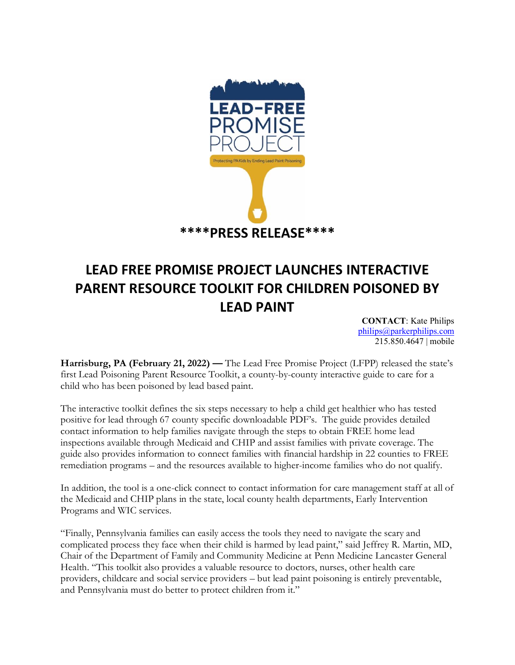

## **LEAD FREE PROMISE PROJECT LAUNCHES INTERACTIVE PARENT RESOURCE TOOLKIT FOR CHILDREN POISONED BY LEAD PAINT**

**CONTACT**: Kate Philips [philips@parkerphilips.com](mailto:philips@parkerphilips.com) 215.850.4647 | mobile

Harrisburg, PA (February 21, 2022) — The Lead Free Promise Project (LFPP) released the state's first Lead Poisoning Parent Resource Toolkit, a county-by-county interactive guide to care for a child who has been poisoned by lead based paint.

The interactive toolkit defines the six steps necessary to help a child get healthier who has tested positive for lead through 67 county specific downloadable PDF's. The guide provides detailed contact information to help families navigate through the steps to obtain FREE home lead inspections available through Medicaid and CHIP and assist families with private coverage. The guide also provides information to connect families with financial hardship in 22 counties to FREE remediation programs – and the resources available to higher-income families who do not qualify.

In addition, the tool is a one-click connect to contact information for care management staff at all of the Medicaid and CHIP plans in the state, local county health departments, Early Intervention Programs and WIC services.

"Finally, Pennsylvania families can easily access the tools they need to navigate the scary and complicated process they face when their child is harmed by lead paint," said Jeffrey R. Martin, MD, Chair of the Department of Family and Community Medicine at Penn Medicine Lancaster General Health. "This toolkit also provides a valuable resource to doctors, nurses, other health care providers, childcare and social service providers – but lead paint poisoning is entirely preventable, and Pennsylvania must do better to protect children from it."